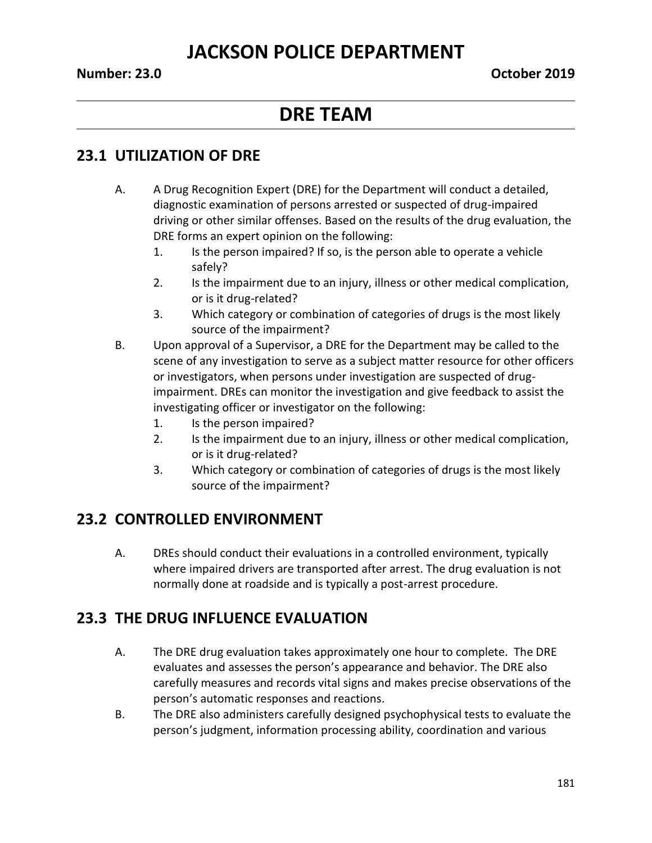## **JACKSON POLICE DEPARTMENT**

# **DRE TEAM**

## **23.1 UTILIZATION OF DRE**

- A. A Drug Recognition Expert (DRE) for the Department will conduct a detailed, diagnostic examination of persons arrested or suspected of drug-impaired driving or other similar offenses. Based on the results of the drug evaluation, the DRE forms an expert opinion on the following:
	- 1. Is the person impaired? If so, is the person able to operate a vehicle safely?
	- 2. Is the impairment due to an injury, illness or other medical complication, or is it drug-related?
	- 3. Which category or combination of categories of drugs is the most likely source of the impairment?
- B. Upon approval of a Supervisor, a DRE for the Department may be called to the scene of any investigation to serve as a subject matter resource for other officers or investigators, when persons under investigation are suspected of drugimpairment. DREs can monitor the investigation and give feedback to assist the investigating officer or investigator on the following:
	- 1. Is the person impaired?
	- 2. Is the impairment due to an injury, illness or other medical complication, or is it drug-related?
	- 3. Which category or combination of categories of drugs is the most likely source of the impairment?

## **23.2 CONTROLLED ENVIRONMENT**

A. DREs should conduct their evaluations in a controlled environment, typically where impaired drivers are transported after arrest. The drug evaluation is not normally done at roadside and is typically a post-arrest procedure.

## **23.3 THE DRUG INFLUENCE EVALUATION**

- A. The DRE drug evaluation takes approximately one hour to complete. The DRE evaluates and assesses the person's appearance and behavior. The DRE also carefully measures and records vital signs and makes precise observations of the person's automatic responses and reactions.
- B. The DRE also administers carefully designed psychophysical tests to evaluate the person's judgment, information processing ability, coordination and various